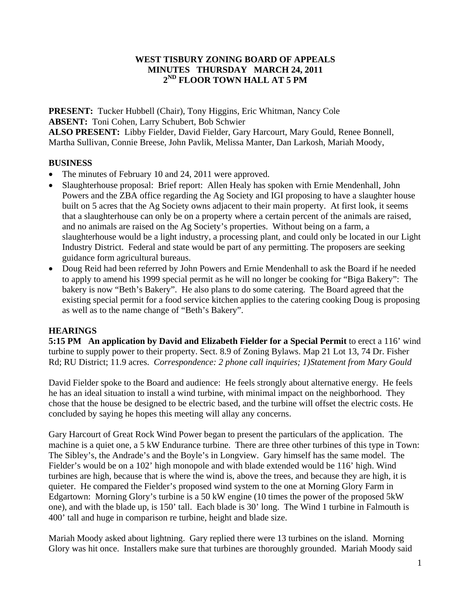## **WEST TISBURY ZONING BOARD OF APPEALS MINUTES THURSDAY MARCH 24, 2011 2ND FLOOR TOWN HALL AT 5 PM**

**PRESENT:** Tucker Hubbell (Chair), Tony Higgins, Eric Whitman, Nancy Cole **ABSENT:** Toni Cohen, Larry Schubert, Bob Schwier

**ALSO PRESENT:** Libby Fielder, David Fielder, Gary Harcourt, Mary Gould, Renee Bonnell, Martha Sullivan, Connie Breese, John Pavlik, Melissa Manter, Dan Larkosh, Mariah Moody,

## **BUSINESS**

- The minutes of February 10 and 24, 2011 were approved.
- Slaughterhouse proposal: Brief report: Allen Healy has spoken with Ernie Mendenhall, John Powers and the ZBA office regarding the Ag Society and IGI proposing to have a slaughter house built on 5 acres that the Ag Society owns adjacent to their main property. At first look, it seems that a slaughterhouse can only be on a property where a certain percent of the animals are raised, and no animals are raised on the Ag Society's properties. Without being on a farm, a slaughterhouse would be a light industry, a processing plant, and could only be located in our Light Industry District. Federal and state would be part of any permitting. The proposers are seeking guidance form agricultural bureaus.
- Doug Reid had been referred by John Powers and Ernie Mendenhall to ask the Board if he needed to apply to amend his 1999 special permit as he will no longer be cooking for "Biga Bakery": The bakery is now "Beth's Bakery". He also plans to do some catering. The Board agreed that the existing special permit for a food service kitchen applies to the catering cooking Doug is proposing as well as to the name change of "Beth's Bakery".

# **HEARINGS**

**5:15 PM An application by David and Elizabeth Fielder for a Special Permit** to erect a 116' wind turbine to supply power to their property. Sect. 8.9 of Zoning Bylaws. Map 21 Lot 13, 74 Dr. Fisher Rd; RU District; 11.9 acres. *Correspondence: 2 phone call inquiries; 1)Statement from Mary Gould* 

David Fielder spoke to the Board and audience: He feels strongly about alternative energy. He feels he has an ideal situation to install a wind turbine, with minimal impact on the neighborhood. They chose that the house be designed to be electric based, and the turbine will offset the electric costs. He concluded by saying he hopes this meeting will allay any concerns.

Gary Harcourt of Great Rock Wind Power began to present the particulars of the application. The machine is a quiet one, a 5 kW Endurance turbine. There are three other turbines of this type in Town: The Sibley's, the Andrade's and the Boyle's in Longview. Gary himself has the same model. The Fielder's would be on a 102' high monopole and with blade extended would be 116' high. Wind turbines are high, because that is where the wind is, above the trees, and because they are high, it is quieter. He compared the Fielder's proposed wind system to the one at Morning Glory Farm in Edgartown: Morning Glory's turbine is a 50 kW engine (10 times the power of the proposed 5kW one), and with the blade up, is 150' tall. Each blade is 30' long. The Wind 1 turbine in Falmouth is 400' tall and huge in comparison re turbine, height and blade size.

Mariah Moody asked about lightning. Gary replied there were 13 turbines on the island. Morning Glory was hit once. Installers make sure that turbines are thoroughly grounded. Mariah Moody said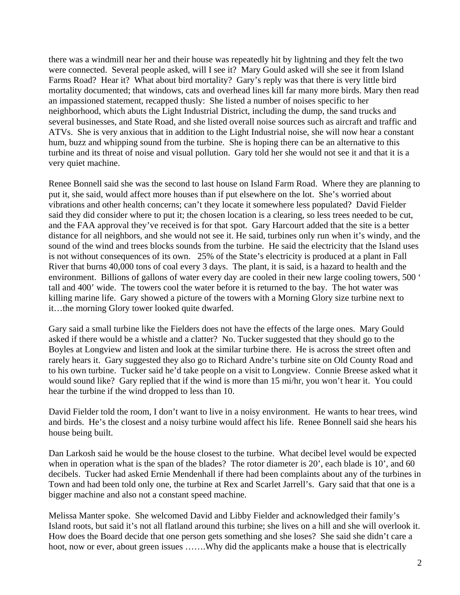there was a windmill near her and their house was repeatedly hit by lightning and they felt the two were connected. Several people asked, will I see it? Mary Gould asked will she see it from Island Farms Road? Hear it? What about bird mortality? Gary's reply was that there is very little bird mortality documented; that windows, cats and overhead lines kill far many more birds. Mary then read an impassioned statement, recapped thusly: She listed a number of noises specific to her neighborhood, which abuts the Light Industrial District, including the dump, the sand trucks and several businesses, and State Road, and she listed overall noise sources such as aircraft and traffic and ATVs. She is very anxious that in addition to the Light Industrial noise, she will now hear a constant hum, buzz and whipping sound from the turbine. She is hoping there can be an alternative to this turbine and its threat of noise and visual pollution. Gary told her she would not see it and that it is a very quiet machine.

Renee Bonnell said she was the second to last house on Island Farm Road. Where they are planning to put it, she said, would affect more houses than if put elsewhere on the lot. She's worried about vibrations and other health concerns; can't they locate it somewhere less populated? David Fielder said they did consider where to put it; the chosen location is a clearing, so less trees needed to be cut, and the FAA approval they've received is for that spot. Gary Harcourt added that the site is a better distance for all neighbors, and she would not see it. He said, turbines only run when it's windy, and the sound of the wind and trees blocks sounds from the turbine. He said the electricity that the Island uses is not without consequences of its own. 25% of the State's electricity is produced at a plant in Fall River that burns 40,000 tons of coal every 3 days. The plant, it is said, is a hazard to health and the environment. Billions of gallons of water every day are cooled in their new large cooling towers, 500 ' tall and 400' wide. The towers cool the water before it is returned to the bay. The hot water was killing marine life. Gary showed a picture of the towers with a Morning Glory size turbine next to it…the morning Glory tower looked quite dwarfed.

Gary said a small turbine like the Fielders does not have the effects of the large ones. Mary Gould asked if there would be a whistle and a clatter? No. Tucker suggested that they should go to the Boyles at Longview and listen and look at the similar turbine there. He is across the street often and rarely hears it. Gary suggested they also go to Richard Andre's turbine site on Old County Road and to his own turbine. Tucker said he'd take people on a visit to Longview. Connie Breese asked what it would sound like? Gary replied that if the wind is more than 15 mi/hr, you won't hear it. You could hear the turbine if the wind dropped to less than 10.

David Fielder told the room, I don't want to live in a noisy environment. He wants to hear trees, wind and birds. He's the closest and a noisy turbine would affect his life. Renee Bonnell said she hears his house being built.

Dan Larkosh said he would be the house closest to the turbine. What decibel level would be expected when in operation what is the span of the blades? The rotor diameter is 20', each blade is 10', and 60 decibels. Tucker had asked Ernie Mendenhall if there had been complaints about any of the turbines in Town and had been told only one, the turbine at Rex and Scarlet Jarrell's. Gary said that that one is a bigger machine and also not a constant speed machine.

Melissa Manter spoke. She welcomed David and Libby Fielder and acknowledged their family's Island roots, but said it's not all flatland around this turbine; she lives on a hill and she will overlook it. How does the Board decide that one person gets something and she loses? She said she didn't care a hoot, now or ever, about green issues .......Why did the applicants make a house that is electrically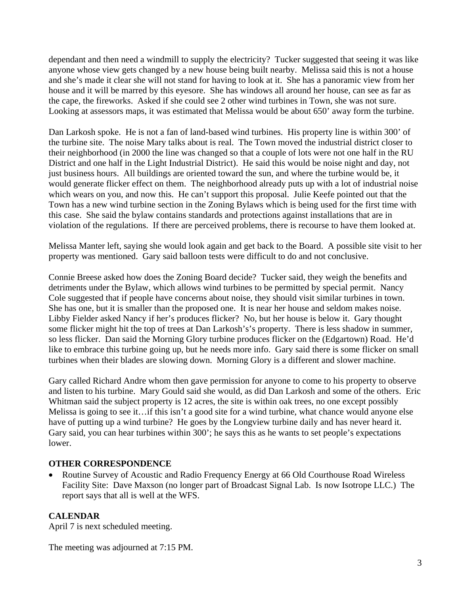dependant and then need a windmill to supply the electricity? Tucker suggested that seeing it was like anyone whose view gets changed by a new house being built nearby. Melissa said this is not a house and she's made it clear she will not stand for having to look at it. She has a panoramic view from her house and it will be marred by this eyesore. She has windows all around her house, can see as far as the cape, the fireworks. Asked if she could see 2 other wind turbines in Town, she was not sure. Looking at assessors maps, it was estimated that Melissa would be about 650' away form the turbine.

Dan Larkosh spoke. He is not a fan of land-based wind turbines. His property line is within 300' of the turbine site. The noise Mary talks about is real. The Town moved the industrial district closer to their neighborhood (in 2000 the line was changed so that a couple of lots were not one half in the RU District and one half in the Light Industrial District). He said this would be noise night and day, not just business hours. All buildings are oriented toward the sun, and where the turbine would be, it would generate flicker effect on them. The neighborhood already puts up with a lot of industrial noise which wears on you, and now this. He can't support this proposal. Julie Keefe pointed out that the Town has a new wind turbine section in the Zoning Bylaws which is being used for the first time with this case. She said the bylaw contains standards and protections against installations that are in violation of the regulations. If there are perceived problems, there is recourse to have them looked at.

Melissa Manter left, saying she would look again and get back to the Board. A possible site visit to her property was mentioned. Gary said balloon tests were difficult to do and not conclusive.

Connie Breese asked how does the Zoning Board decide? Tucker said, they weigh the benefits and detriments under the Bylaw, which allows wind turbines to be permitted by special permit. Nancy Cole suggested that if people have concerns about noise, they should visit similar turbines in town. She has one, but it is smaller than the proposed one. It is near her house and seldom makes noise. Libby Fielder asked Nancy if her's produces flicker? No, but her house is below it. Gary thought some flicker might hit the top of trees at Dan Larkosh's's property. There is less shadow in summer, so less flicker. Dan said the Morning Glory turbine produces flicker on the (Edgartown) Road. He'd like to embrace this turbine going up, but he needs more info. Gary said there is some flicker on small turbines when their blades are slowing down. Morning Glory is a different and slower machine.

Gary called Richard Andre whom then gave permission for anyone to come to his property to observe and listen to his turbine. Mary Gould said she would, as did Dan Larkosh and some of the others. Eric Whitman said the subject property is 12 acres, the site is within oak trees, no one except possibly Melissa is going to see it…if this isn't a good site for a wind turbine, what chance would anyone else have of putting up a wind turbine? He goes by the Longview turbine daily and has never heard it. Gary said, you can hear turbines within 300'; he says this as he wants to set people's expectations lower.

## **OTHER CORRESPONDENCE**

• Routine Survey of Acoustic and Radio Frequency Energy at 66 Old Courthouse Road Wireless Facility Site: Dave Maxson (no longer part of Broadcast Signal Lab. Is now Isotrope LLC.) The report says that all is well at the WFS.

# **CALENDAR**

April 7 is next scheduled meeting.

The meeting was adjourned at 7:15 PM.